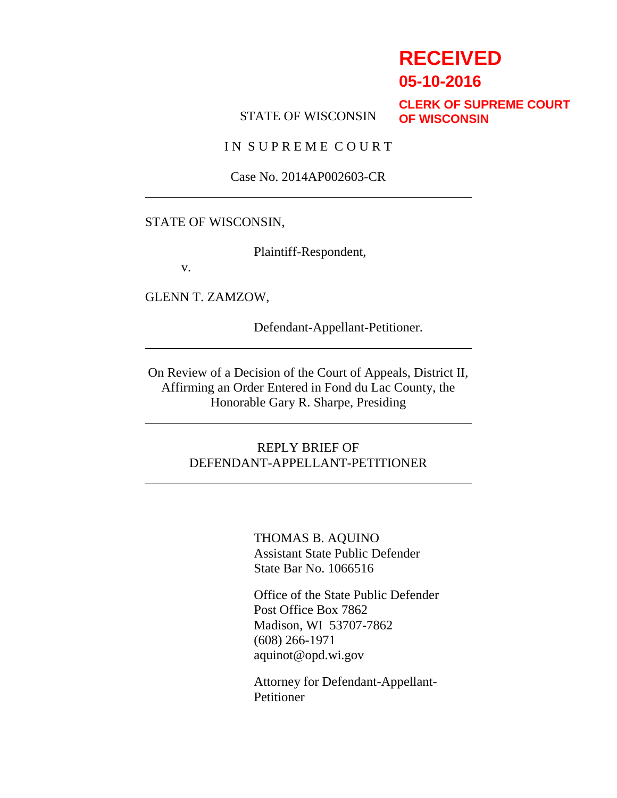# **RECEIVED**

**05-10-2016**

#### STATE OF WISCONSIN

**CLERK OF SUPREME COURT OF WISCONSIN**

IN SUPREME COURT

Case No. 2014AP002603-CR

#### STATE OF WISCONSIN,

Plaintiff-Respondent,

v.

GLENN T. ZAMZOW,

Defendant-Appellant-Petitioner.

On Review of a Decision of the Court of Appeals, District II, Affirming an Order Entered in Fond du Lac County, the Honorable Gary R. Sharpe, Presiding

#### REPLY BRIEF OF DEFENDANT-APPELLANT-PETITIONER

THOMAS B. AQUINO Assistant State Public Defender State Bar No. 1066516

Office of the State Public Defender Post Office Box 7862 Madison, WI 53707-7862 (608) 266-1971 aquinot@opd.wi.gov

Attorney for Defendant-Appellant-Petitioner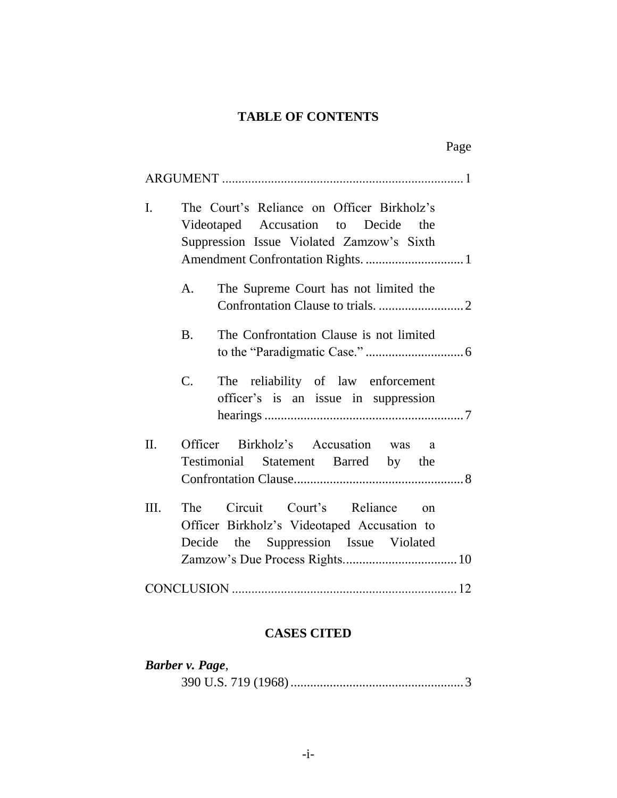## **TABLE OF CONTENTS**

| I.   | The Court's Reliance on Officer Birkholz's<br>Videotaped Accusation to Decide the<br>Suppression Issue Violated Zamzow's Sixth |  |
|------|--------------------------------------------------------------------------------------------------------------------------------|--|
|      | The Supreme Court has not limited the<br>$A_{\cdot}$                                                                           |  |
|      | The Confrontation Clause is not limited<br><b>B.</b>                                                                           |  |
|      | C.<br>The reliability of law enforcement<br>officer's is an issue in suppression                                               |  |
| II.  | Officer Birkholz's Accusation was a<br>Testimonial Statement Barred by the                                                     |  |
| III. | The Circuit Court's Reliance on<br>Officer Birkholz's Videotaped Accusation to<br>Decide the Suppression Issue Violated        |  |
|      |                                                                                                                                |  |

## **CASES CITED**

| Barber v. Page, |  |
|-----------------|--|
|                 |  |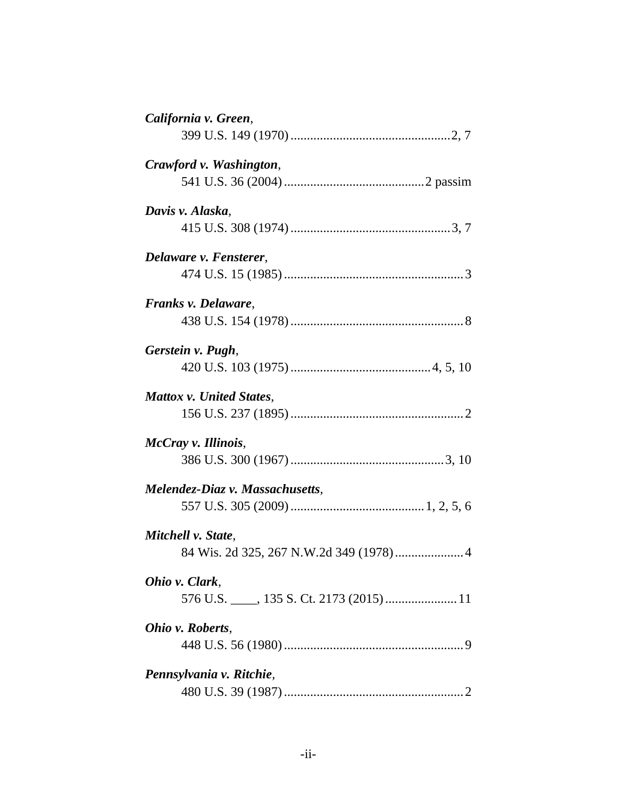| California v. Green,            |
|---------------------------------|
|                                 |
| Crawford v. Washington,         |
|                                 |
| Davis v. Alaska,                |
|                                 |
| Delaware v. Fensterer,          |
|                                 |
| Franks v. Delaware,             |
|                                 |
| Gerstein v. Pugh,               |
|                                 |
| Mattox v. United States,        |
|                                 |
| McCray v. Illinois,             |
|                                 |
| Melendez-Diaz v. Massachusetts, |
|                                 |
| Mitchell v. State,              |
|                                 |
| Ohio v. Clark,                  |
|                                 |
| Ohio v. Roberts,                |
|                                 |
| Pennsylvania v. Ritchie,        |
|                                 |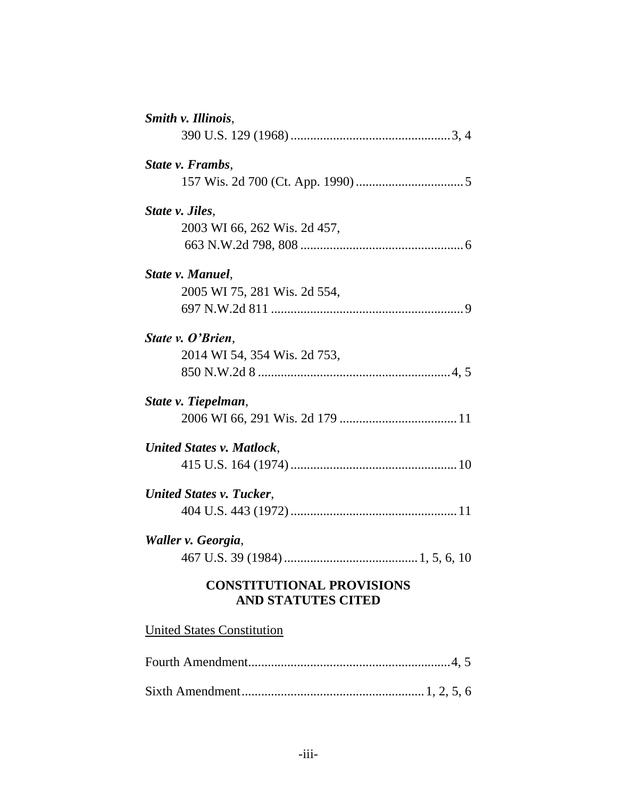| Smith v. Illinois,                                            |
|---------------------------------------------------------------|
|                                                               |
| State v. Frambs,                                              |
|                                                               |
| State v. Jiles,                                               |
| 2003 WI 66, 262 Wis. 2d 457,                                  |
|                                                               |
| State v. Manuel,                                              |
| 2005 WI 75, 281 Wis. 2d 554,                                  |
|                                                               |
| State v. O'Brien,                                             |
| 2014 WI 54, 354 Wis. 2d 753,                                  |
|                                                               |
| State v. Tiepelman,                                           |
|                                                               |
| United States v. Matlock,                                     |
|                                                               |
| United States v. Tucker,                                      |
|                                                               |
| Waller v. Georgia,                                            |
|                                                               |
| <b>CONSTITUTIONAL PROVISIONS</b><br><b>AND STATUTES CITED</b> |
| <b>United States Constitution</b>                             |
|                                                               |
|                                                               |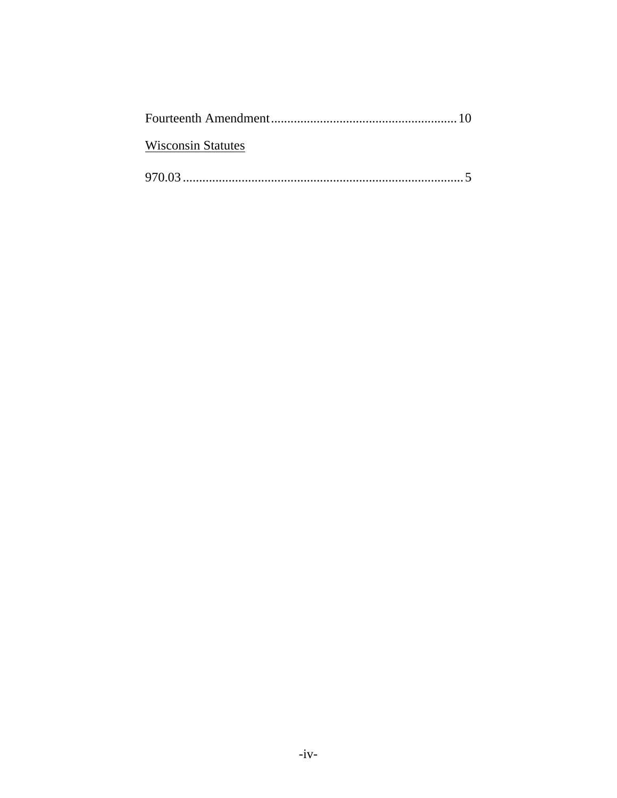| <b>Wisconsin Statutes</b> |  |
|---------------------------|--|
|                           |  |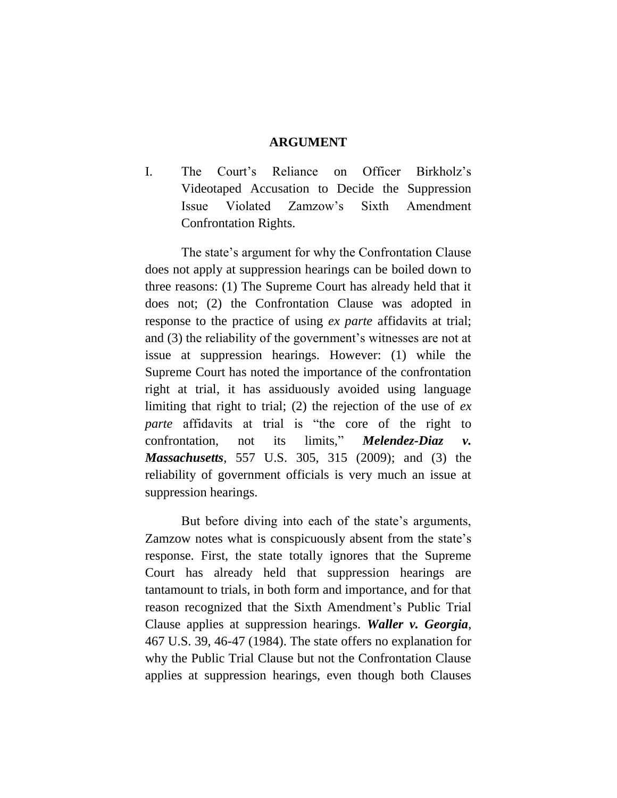#### **ARGUMENT**

I. The Court's Reliance on Officer Birkholz's Videotaped Accusation to Decide the Suppression Issue Violated Zamzow's Sixth Amendment Confrontation Rights.

The state's argument for why the Confrontation Clause does not apply at suppression hearings can be boiled down to three reasons: (1) The Supreme Court has already held that it does not; (2) the Confrontation Clause was adopted in response to the practice of using *ex parte* affidavits at trial; and (3) the reliability of the government's witnesses are not at issue at suppression hearings. However: (1) while the Supreme Court has noted the importance of the confrontation right at trial, it has assiduously avoided using language limiting that right to trial; (2) the rejection of the use of *ex parte* affidavits at trial is "the core of the right to confrontation, not its limits," *Melendez-Diaz v. Massachusetts*, 557 U.S. 305, 315 (2009); and (3) the reliability of government officials is very much an issue at suppression hearings.

But before diving into each of the state's arguments, Zamzow notes what is conspicuously absent from the state's response. First, the state totally ignores that the Supreme Court has already held that suppression hearings are tantamount to trials, in both form and importance, and for that reason recognized that the Sixth Amendment's Public Trial Clause applies at suppression hearings. *Waller v. Georgia*, 467 U.S. 39, 46-47 (1984). The state offers no explanation for why the Public Trial Clause but not the Confrontation Clause applies at suppression hearings, even though both Clauses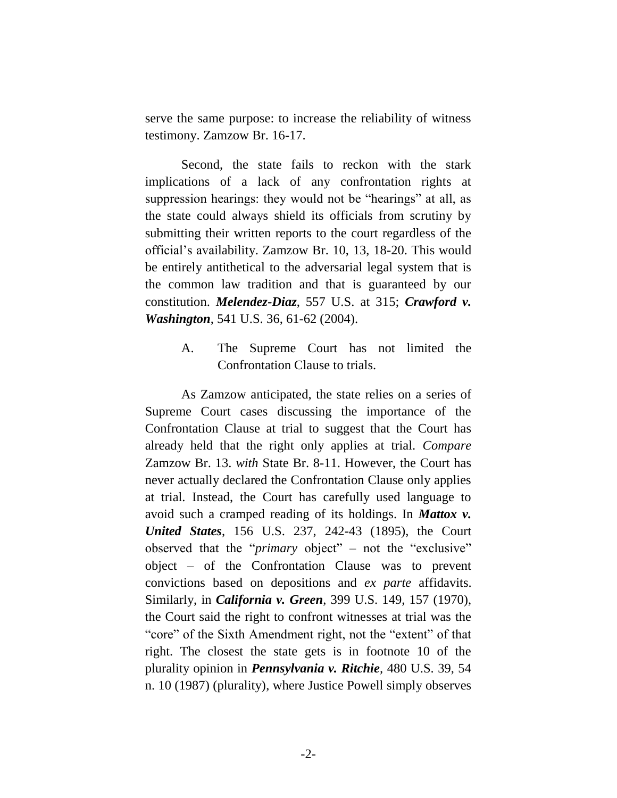serve the same purpose: to increase the reliability of witness testimony. Zamzow Br. 16-17.

Second, the state fails to reckon with the stark implications of a lack of any confrontation rights at suppression hearings: they would not be "hearings" at all, as the state could always shield its officials from scrutiny by submitting their written reports to the court regardless of the official's availability. Zamzow Br. 10, 13, 18-20. This would be entirely antithetical to the adversarial legal system that is the common law tradition and that is guaranteed by our constitution. *Melendez-Diaz*, 557 U.S. at 315; *Crawford v. Washington*, 541 U.S. 36, 61-62 (2004).

> A. The Supreme Court has not limited the Confrontation Clause to trials.

As Zamzow anticipated, the state relies on a series of Supreme Court cases discussing the importance of the Confrontation Clause at trial to suggest that the Court has already held that the right only applies at trial. *Compare* Zamzow Br. 13. *with* State Br. 8-11. However, the Court has never actually declared the Confrontation Clause only applies at trial. Instead, the Court has carefully used language to avoid such a cramped reading of its holdings. In *Mattox v. United States*, 156 U.S. 237, 242-43 (1895), the Court observed that the "*primary* object" – not the "exclusive" object – of the Confrontation Clause was to prevent convictions based on depositions and *ex parte* affidavits. Similarly, in *California v. Green*, 399 U.S. 149, 157 (1970), the Court said the right to confront witnesses at trial was the "core" of the Sixth Amendment right, not the "extent" of that right. The closest the state gets is in footnote 10 of the plurality opinion in *Pennsylvania v. Ritchie,* 480 U.S. 39, 54 n. 10 (1987) (plurality), where Justice Powell simply observes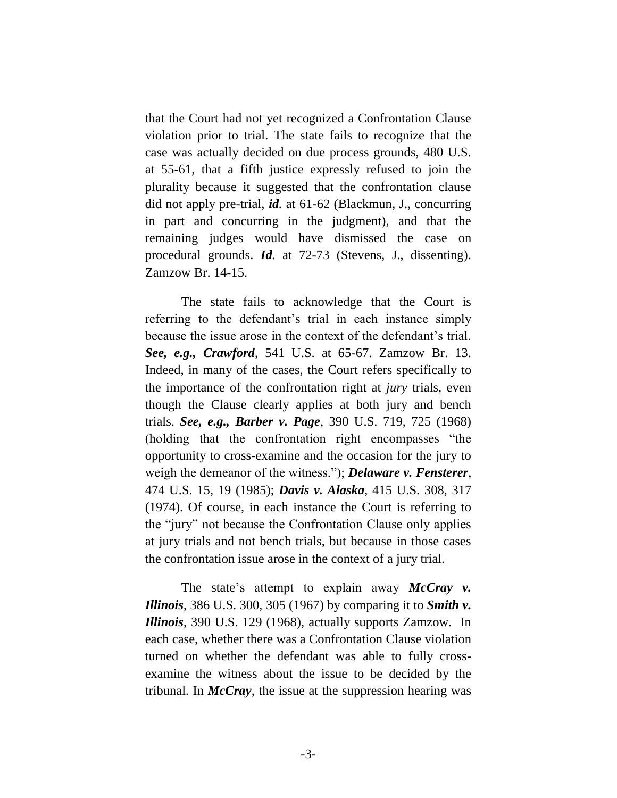that the Court had not yet recognized a Confrontation Clause violation prior to trial. The state fails to recognize that the case was actually decided on due process grounds, 480 U.S. at 55-61, that a fifth justice expressly refused to join the plurality because it suggested that the confrontation clause did not apply pre-trial, *id.* at 61-62 (Blackmun, J., concurring in part and concurring in the judgment), and that the remaining judges would have dismissed the case on procedural grounds. *Id.* at 72-73 (Stevens, J., dissenting). Zamzow Br. 14-15.

The state fails to acknowledge that the Court is referring to the defendant's trial in each instance simply because the issue arose in the context of the defendant's trial. *See, e.g., Crawford*, 541 U.S. at 65-67. Zamzow Br. 13. Indeed, in many of the cases, the Court refers specifically to the importance of the confrontation right at *jury* trials, even though the Clause clearly applies at both jury and bench trials. *See, e.g., Barber v. Page*, 390 U.S. 719, 725 (1968) (holding that the confrontation right encompasses "the opportunity to cross-examine and the occasion for the jury to weigh the demeanor of the witness."); *Delaware v. Fensterer*, 474 U.S. 15, 19 (1985); *Davis v. Alaska*, 415 U.S. 308, 317 (1974). Of course, in each instance the Court is referring to the "jury" not because the Confrontation Clause only applies at jury trials and not bench trials, but because in those cases the confrontation issue arose in the context of a jury trial.

The state's attempt to explain away *McCray v. Illinois*, 386 U.S. 300, 305 (1967) by comparing it to *Smith v. Illinois*, 390 U.S. 129 (1968), actually supports Zamzow. In each case, whether there was a Confrontation Clause violation turned on whether the defendant was able to fully crossexamine the witness about the issue to be decided by the tribunal. In *McCray*, the issue at the suppression hearing was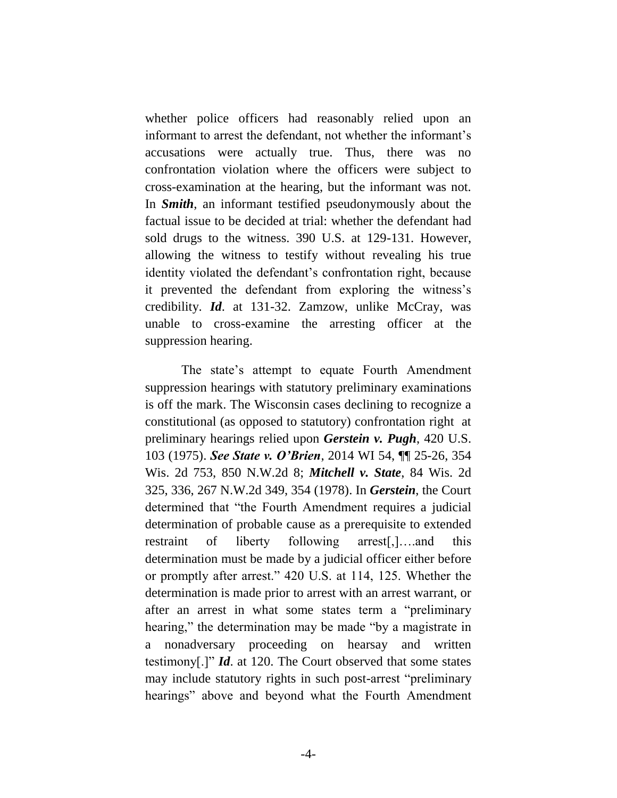whether police officers had reasonably relied upon an informant to arrest the defendant, not whether the informant's accusations were actually true. Thus, there was no confrontation violation where the officers were subject to cross-examination at the hearing, but the informant was not. In *Smith*, an informant testified pseudonymously about the factual issue to be decided at trial: whether the defendant had sold drugs to the witness. 390 U.S. at 129-131. However, allowing the witness to testify without revealing his true identity violated the defendant's confrontation right, because it prevented the defendant from exploring the witness's credibility. *Id*. at 131-32. Zamzow, unlike McCray, was unable to cross-examine the arresting officer at the suppression hearing.

The state's attempt to equate Fourth Amendment suppression hearings with statutory preliminary examinations is off the mark. The Wisconsin cases declining to recognize a constitutional (as opposed to statutory) confrontation right at preliminary hearings relied upon *Gerstein v. Pugh*, 420 U.S. 103 (1975). *See State v. O'Brien*, 2014 WI 54, ¶¶ 25-26, 354 Wis. 2d 753, 850 N.W.2d 8; *Mitchell v. State*, 84 Wis. 2d 325, 336, 267 N.W.2d 349, 354 (1978). In *Gerstein*, the Court determined that "the Fourth Amendment requires a judicial determination of probable cause as a prerequisite to extended restraint of liberty following arrest[,]….and this determination must be made by a judicial officer either before or promptly after arrest." 420 U.S. at 114, 125. Whether the determination is made prior to arrest with an arrest warrant, or after an arrest in what some states term a "preliminary hearing," the determination may be made "by a magistrate in a nonadversary proceeding on hearsay and written testimony[.]" *Id*. at 120. The Court observed that some states may include statutory rights in such post-arrest "preliminary hearings" above and beyond what the Fourth Amendment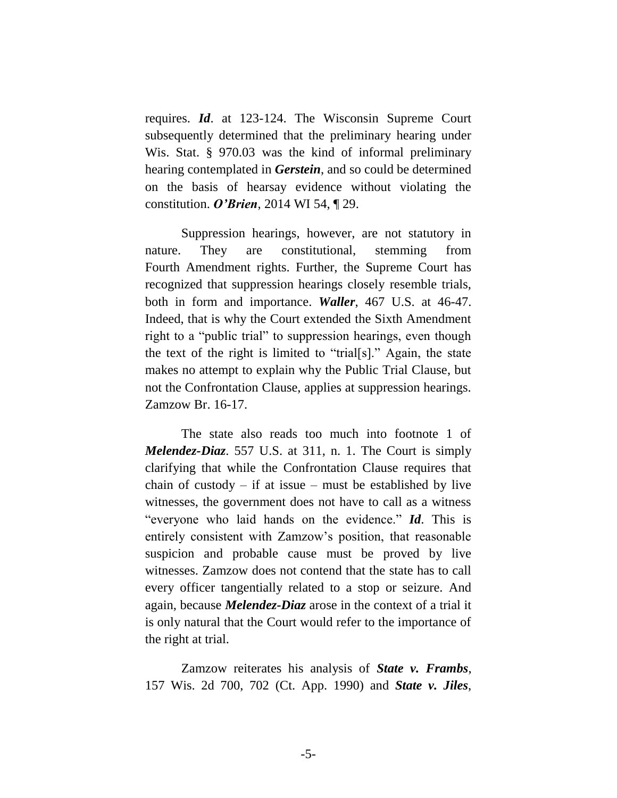requires. *Id*. at 123-124. The Wisconsin Supreme Court subsequently determined that the preliminary hearing under Wis. Stat. § 970.03 was the kind of informal preliminary hearing contemplated in *Gerstein*, and so could be determined on the basis of hearsay evidence without violating the constitution. *O'Brien*, 2014 WI 54, ¶ 29.

Suppression hearings, however, are not statutory in nature. They are constitutional, stemming from Fourth Amendment rights. Further, the Supreme Court has recognized that suppression hearings closely resemble trials, both in form and importance. *Waller*, 467 U.S. at 46-47. Indeed, that is why the Court extended the Sixth Amendment right to a "public trial" to suppression hearings, even though the text of the right is limited to "trial[s]." Again, the state makes no attempt to explain why the Public Trial Clause, but not the Confrontation Clause, applies at suppression hearings. Zamzow Br. 16-17.

The state also reads too much into footnote 1 of *Melendez-Diaz*. 557 U.S. at 311, n. 1. The Court is simply clarifying that while the Confrontation Clause requires that chain of custody – if at issue – must be established by live witnesses, the government does not have to call as a witness "everyone who laid hands on the evidence." *Id*. This is entirely consistent with Zamzow's position, that reasonable suspicion and probable cause must be proved by live witnesses. Zamzow does not contend that the state has to call every officer tangentially related to a stop or seizure. And again, because *Melendez-Diaz* arose in the context of a trial it is only natural that the Court would refer to the importance of the right at trial.

Zamzow reiterates his analysis of *State v. Frambs*, 157 Wis. 2d 700, 702 (Ct. App. 1990) and *State v. Jiles*,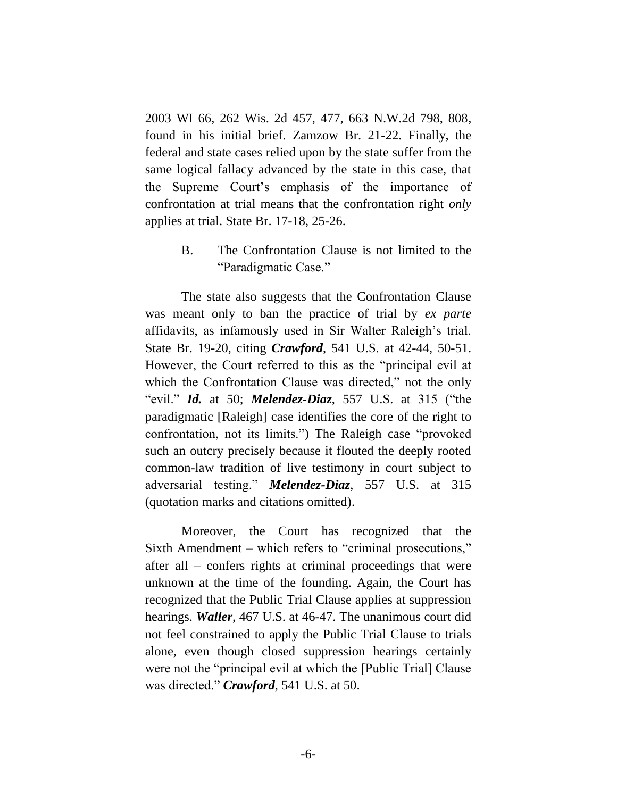2003 WI 66, 262 Wis. 2d 457, 477, 663 N.W.2d 798, 808, found in his initial brief. Zamzow Br. 21-22. Finally, the federal and state cases relied upon by the state suffer from the same logical fallacy advanced by the state in this case, that the Supreme Court's emphasis of the importance of confrontation at trial means that the confrontation right *only* applies at trial. State Br. 17-18, 25-26.

> B. The Confrontation Clause is not limited to the "Paradigmatic Case."

The state also suggests that the Confrontation Clause was meant only to ban the practice of trial by *ex parte* affidavits, as infamously used in Sir Walter Raleigh's trial. State Br. 19-20, citing *Crawford*, 541 U.S. at 42-44, 50-51. However, the Court referred to this as the "principal evil at which the Confrontation Clause was directed," not the only "evil." *Id.* at 50; *Melendez-Diaz*, 557 U.S. at 315 ("the paradigmatic [Raleigh] case identifies the core of the right to confrontation, not its limits.") The Raleigh case "provoked such an outcry precisely because it flouted the deeply rooted common-law tradition of live testimony in court subject to adversarial testing." *Melendez-Diaz*, 557 U.S. at 315 (quotation marks and citations omitted).

Moreover, the Court has recognized that the Sixth Amendment – which refers to "criminal prosecutions," after all – confers rights at criminal proceedings that were unknown at the time of the founding. Again, the Court has recognized that the Public Trial Clause applies at suppression hearings. *Waller*, 467 U.S. at 46-47. The unanimous court did not feel constrained to apply the Public Trial Clause to trials alone, even though closed suppression hearings certainly were not the "principal evil at which the [Public Trial] Clause was directed." *Crawford*, 541 U.S. at 50.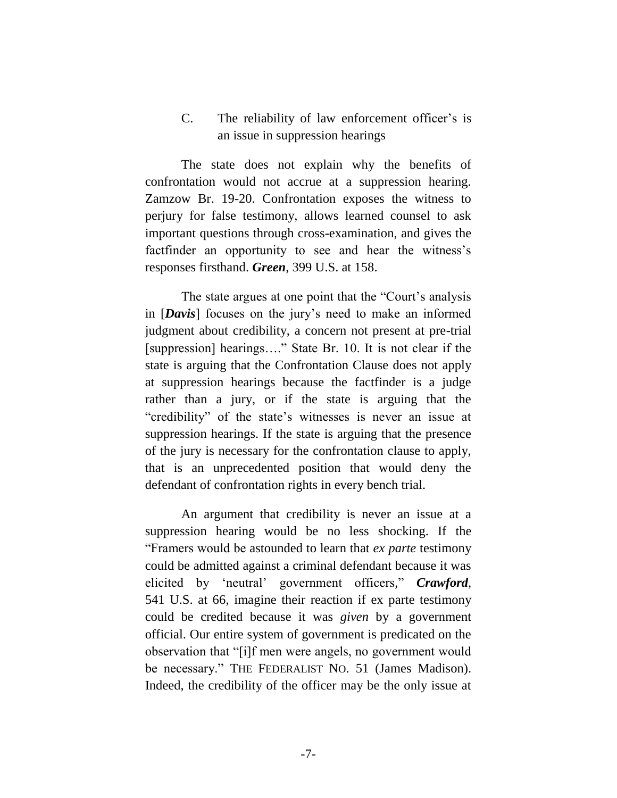### C. The reliability of law enforcement officer's is an issue in suppression hearings

The state does not explain why the benefits of confrontation would not accrue at a suppression hearing. Zamzow Br. 19-20. Confrontation exposes the witness to perjury for false testimony, allows learned counsel to ask important questions through cross-examination, and gives the factfinder an opportunity to see and hear the witness's responses firsthand. *Green*, 399 U.S. at 158.

The state argues at one point that the "Court's analysis in [*Davis*] focuses on the jury's need to make an informed judgment about credibility, a concern not present at pre-trial [suppression] hearings...." State Br. 10. It is not clear if the state is arguing that the Confrontation Clause does not apply at suppression hearings because the factfinder is a judge rather than a jury, or if the state is arguing that the "credibility" of the state's witnesses is never an issue at suppression hearings. If the state is arguing that the presence of the jury is necessary for the confrontation clause to apply, that is an unprecedented position that would deny the defendant of confrontation rights in every bench trial.

An argument that credibility is never an issue at a suppression hearing would be no less shocking. If the "Framers would be astounded to learn that *ex parte* testimony could be admitted against a criminal defendant because it was elicited by 'neutral' government officers," *Crawford*, 541 U.S. at 66, imagine their reaction if ex parte testimony could be credited because it was *given* by a government official. Our entire system of government is predicated on the observation that "[i]f men were angels, no government would be necessary." THE FEDERALIST NO. 51 (James Madison). Indeed, the credibility of the officer may be the only issue at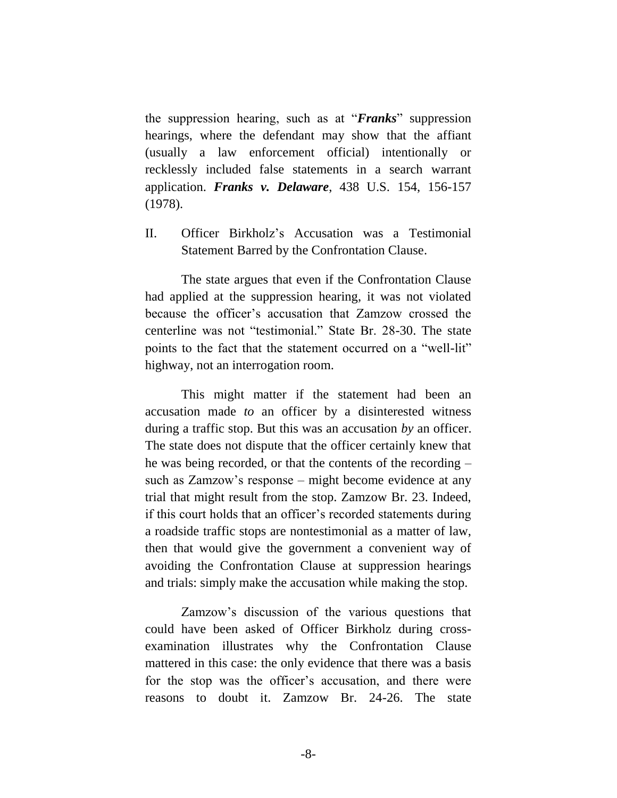the suppression hearing, such as at "*Franks*" suppression hearings, where the defendant may show that the affiant (usually a law enforcement official) intentionally or recklessly included false statements in a search warrant application. *Franks v. Delaware*, 438 U.S. 154, 156-157 (1978).

II. Officer Birkholz's Accusation was a Testimonial Statement Barred by the Confrontation Clause.

The state argues that even if the Confrontation Clause had applied at the suppression hearing, it was not violated because the officer's accusation that Zamzow crossed the centerline was not "testimonial." State Br. 28-30. The state points to the fact that the statement occurred on a "well-lit" highway, not an interrogation room.

This might matter if the statement had been an accusation made *to* an officer by a disinterested witness during a traffic stop. But this was an accusation *by* an officer. The state does not dispute that the officer certainly knew that he was being recorded, or that the contents of the recording – such as Zamzow's response – might become evidence at any trial that might result from the stop. Zamzow Br. 23. Indeed, if this court holds that an officer's recorded statements during a roadside traffic stops are nontestimonial as a matter of law, then that would give the government a convenient way of avoiding the Confrontation Clause at suppression hearings and trials: simply make the accusation while making the stop.

Zamzow's discussion of the various questions that could have been asked of Officer Birkholz during crossexamination illustrates why the Confrontation Clause mattered in this case: the only evidence that there was a basis for the stop was the officer's accusation, and there were reasons to doubt it. Zamzow Br. 24-26. The state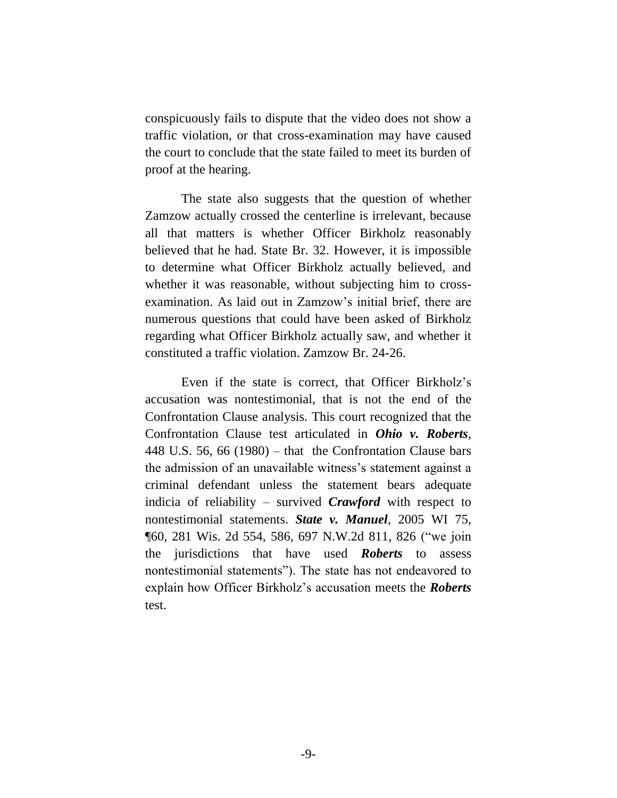conspicuously fails to dispute that the video does not show a traffic violation, or that cross-examination may have caused the court to conclude that the state failed to meet its burden of proof at the hearing.

The state also suggests that the question of whether Zamzow actually crossed the centerline is irrelevant, because all that matters is whether Officer Birkholz reasonably believed that he had. State Br. 32. However, it is impossible to determine what Officer Birkholz actually believed, and whether it was reasonable, without subjecting him to crossexamination. As laid out in Zamzow's initial brief, there are numerous questions that could have been asked of Birkholz regarding what Officer Birkholz actually saw, and whether it constituted a traffic violation. Zamzow Br. 24-26.

Even if the state is correct, that Officer Birkholz's accusation was nontestimonial, that is not the end of the Confrontation Clause analysis. This court recognized that the Confrontation Clause test articulated in *Ohio v. Roberts*, 448 U.S. 56, 66 (1980) – that the Confrontation Clause bars the admission of an unavailable witness's statement against a criminal defendant unless the statement bears adequate indicia of reliability – survived *Crawford* with respect to nontestimonial statements. *State v. Manuel*, 2005 WI 75, ¶60, 281 Wis. 2d 554, 586, 697 N.W.2d 811, 826 ("we join the jurisdictions that have used *Roberts* to assess nontestimonial statements"). The state has not endeavored to explain how Officer Birkholz's accusation meets the *Roberts* test.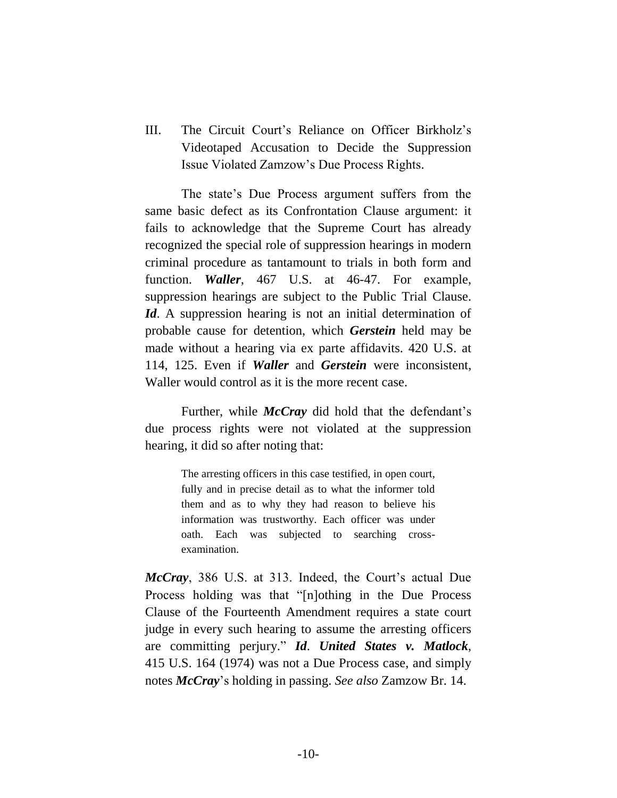<span id="page-14-0"></span>III. The Circuit Court's Reliance on Officer Birkholz's Videotaped Accusation to Decide the Suppression Issue Violated Zamzow's Due Process Rights.

The state's Due Process argument suffers from the same basic defect as its Confrontation Clause argument: it fails to acknowledge that the Supreme Court has already recognized the special role of suppression hearings in modern criminal procedure as tantamount to trials in both form and function. *Waller*, 467 U.S. at 46-47. For example, suppression hearings are subject to the Public Trial Clause. *Id*. A suppression hearing is not an initial determination of probable cause for detention, which *Gerstein* held may be made without a hearing via ex parte affidavits. 420 U.S. at 114, 125. Even if *Waller* and *Gerstein* were inconsistent, Waller would control as it is the more recent case.

Further, while *McCray* did hold that the defendant's due process rights were not violated at the suppression hearing, it did so after noting that:

> The arresting officers in this case testified, in open court, fully and in precise detail as to what the informer told them and as to why they had reason to believe his information was trustworthy. Each officer was under oath. Each was subjected to searching crossexamination.

*McCray*, 386 U.S. at 313. Indeed, the Court's actual Due Process holding was that "[n]othing in the Due Process Clause of the Fourteenth Amendment requires a state court judge in every such hearing to assume the arresting officers are committing perjury." *Id*. *United States v. Matlock*, 415 U.S. 164 (1974) was not a Due Process case, and simply notes *McCray*'s holding in passing. *See also* Zamzow Br. 14.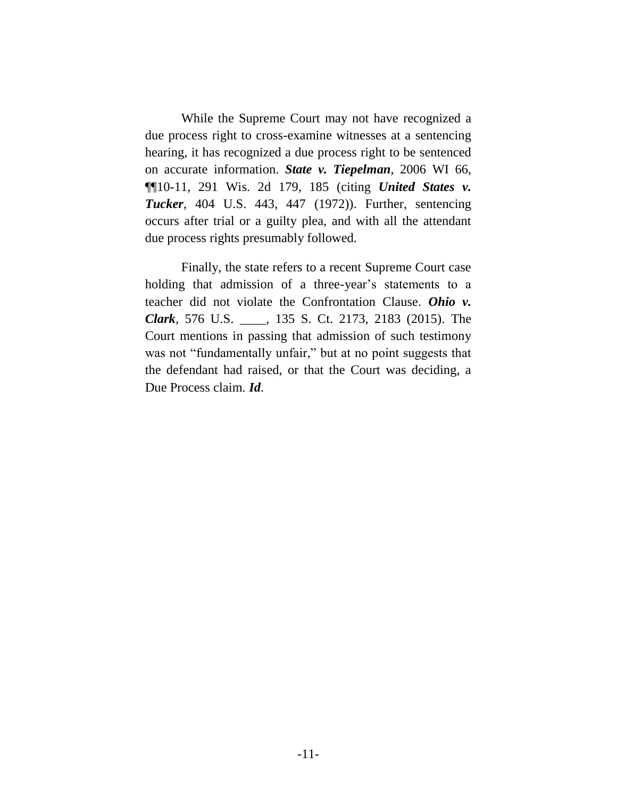While the Supreme Court may not have recognized a due process right to cross-examine witnesses at a sentencing hearing, it has recognized a due process right to be sentenced on accurate information. *State v. Tiepelman*, 2006 WI 66, ¶¶10-11, 291 Wis. 2d 179, 185 (citing *United States v. Tucker*, 404 U.S. 443, 447 (1972)). Further, sentencing occurs after trial or a guilty plea, and with all the attendant due process rights presumably followed.

Finally, the state refers to a recent Supreme Court case holding that admission of a three-year's statements to a teacher did not violate the Confrontation Clause. *Ohio v. Clark*, 576 U.S. \_\_\_\_, 135 S. Ct. 2173, 2183 (2015). The Court mentions in passing that admission of such testimony was not "fundamentally unfair," but at no point suggests that the defendant had raised, or that the Court was deciding, a Due Process claim. *Id*.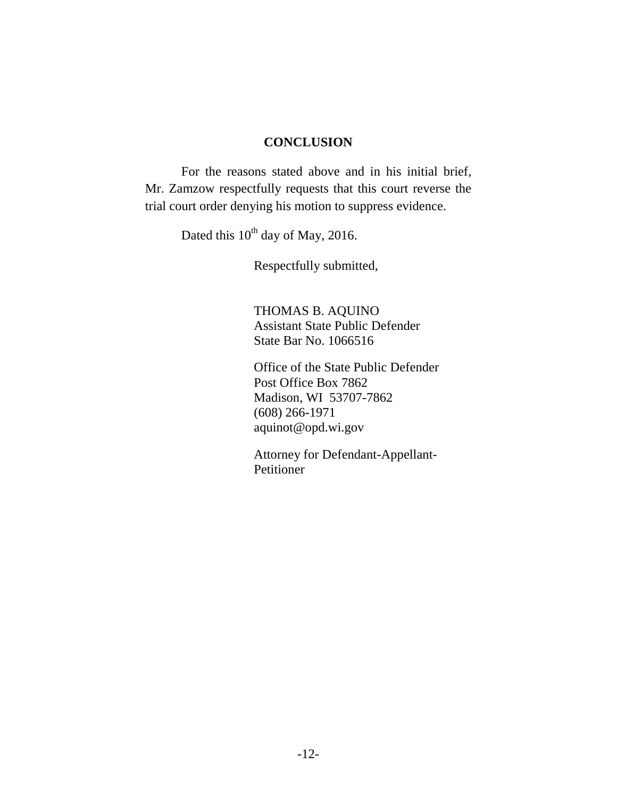#### **CONCLUSION**

<span id="page-16-0"></span>For the reasons stated above and in his initial brief, Mr. Zamzow respectfully requests that this court reverse the trial court order denying his motion to suppress evidence.

Dated this 10<sup>th</sup> day of May, 2016.

Respectfully submitted,

THOMAS B. AQUINO Assistant State Public Defender State Bar No. 1066516

Office of the State Public Defender Post Office Box 7862 Madison, WI 53707-7862 (608) 266-1971 aquinot@opd.wi.gov

Attorney for Defendant-Appellant-Petitioner